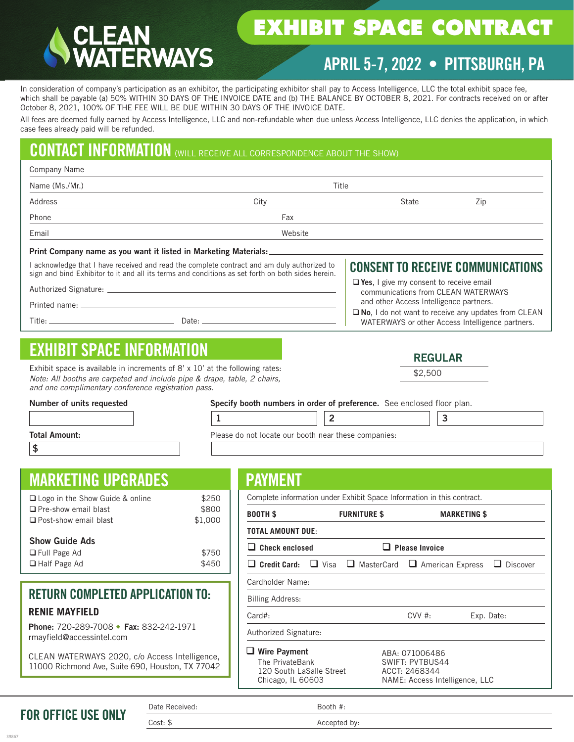# **ERWAYS**

# **EXHIBIT SPACE CONTRACT**

# APRIL 5-7, 2022 • PITTSBURGH, PA

In consideration of company's participation as an exhibitor, the participating exhibitor shall pay to Access Intelligence, LLC the total exhibit space fee, which shall be payable (a) 50% WITHIN 30 DAYS OF THE INVOICE DATE and (b) THE BALANCE BY OCTOBER 8, 2021. For contracts received on or after October 8, 2021, 100% OF THE FEE WILL BE DUE WITHIN 30 DAYS OF THE INVOICE DATE.

All fees are deemed fully earned by Access Intelligence, LLC and non-refundable when due unless Access Intelligence, LLC denies the application, in which case fees already paid will be refunded.

# CONTACT INFORMATION (WILL RECEIVE ALL CORRESPONDENCE ABOUT THE SHOW)

| Company Name                                                                                                                                                                              |                                                                                                                                                                                                  |                                                                                                                                  |                                                                                                                |     |  |
|-------------------------------------------------------------------------------------------------------------------------------------------------------------------------------------------|--------------------------------------------------------------------------------------------------------------------------------------------------------------------------------------------------|----------------------------------------------------------------------------------------------------------------------------------|----------------------------------------------------------------------------------------------------------------|-----|--|
| Name (Ms./Mr.)                                                                                                                                                                            |                                                                                                                                                                                                  | Title                                                                                                                            |                                                                                                                |     |  |
| Address                                                                                                                                                                                   | City                                                                                                                                                                                             |                                                                                                                                  | State                                                                                                          | Zip |  |
| Phone                                                                                                                                                                                     | Fax                                                                                                                                                                                              |                                                                                                                                  |                                                                                                                |     |  |
| Email                                                                                                                                                                                     | Website                                                                                                                                                                                          |                                                                                                                                  |                                                                                                                |     |  |
|                                                                                                                                                                                           | Print Company name as you want it listed in Marketing Materials:                                                                                                                                 |                                                                                                                                  |                                                                                                                |     |  |
|                                                                                                                                                                                           | I acknowledge that I have received and read the complete contract and am duly authorized to<br>sign and bind Exhibitor to it and all its terms and conditions as set forth on both sides herein. |                                                                                                                                  | <b>CONSENT TO RECEIVE COMMUNICATIONS</b>                                                                       |     |  |
|                                                                                                                                                                                           |                                                                                                                                                                                                  | $\Box$ Yes, I give my consent to receive email<br>communications from CLEAN WATERWAYS<br>and other Access Intelligence partners. |                                                                                                                |     |  |
|                                                                                                                                                                                           |                                                                                                                                                                                                  |                                                                                                                                  | $\Box$ No, I do not want to receive any updates from CLEAN<br>WATERWAYS or other Access Intelligence partners. |     |  |
|                                                                                                                                                                                           |                                                                                                                                                                                                  |                                                                                                                                  |                                                                                                                |     |  |
| <b>EXHIBIT SPACE INFORMATION</b>                                                                                                                                                          |                                                                                                                                                                                                  |                                                                                                                                  | <b>REGULAR</b>                                                                                                 |     |  |
| Exhibit space is available in increments of $8' \times 10'$ at the following rates:<br>$N_{i+1}$ and $N_{i+1}$ are the contracted on the state of the contracted of $\sigma$ and $\sigma$ |                                                                                                                                                                                                  |                                                                                                                                  | \$2,500                                                                                                        |     |  |

*Note: All booths are carpeted and include pipe & drape, table, 2 chairs, and one complimentary conference registration pass.*

Number of units requested Specify booth numbers in order of preference. See enclosed floor plan.

| Please do not locate our booth near these companies: |  |
|------------------------------------------------------|--|

Total Amount:

\$

# MARKETING UPGRADES

| $\Box$ Logo in the Show Guide & online | \$250   |
|----------------------------------------|---------|
| $\Box$ Pre-show email blast            | \$800   |
| □ Post-show email blast                | \$1,000 |
| <b>Show Guide Ads</b>                  |         |
| $\Box$ Full Page Ad                    | \$750   |

| $\Box$ Half Page Ad | \$450 |
|---------------------|-------|
| $\Box$ Full Page Ad | \$750 |

## RETURN COMPLETED APPLICATION TO: **RENIE MAYFIELD**

Phone: 720-289-7008 ◆ Fax: 832-242-1971 rmayfield@accessintel.com

CLEAN WATERWAYS 2020, c/o Access Intelligence, 11000 Richmond Ave, Suite 690, Houston, TX 77042

## PAYMENT

|                                           | \$250 | Complete information under Exhibit Space Information in this contract.                  |                     |                                                                                      |                     |                 |
|-------------------------------------------|-------|-----------------------------------------------------------------------------------------|---------------------|--------------------------------------------------------------------------------------|---------------------|-----------------|
| \$800<br>\$1,000                          |       | <b>BOOTH \$</b>                                                                         | <b>FURNITURE \$</b> |                                                                                      | <b>MARKETING \$</b> |                 |
|                                           |       | <b>TOTAL AMOUNT DUE:</b>                                                                |                     |                                                                                      |                     |                 |
|                                           | \$750 | $\Box$ Check enclosed<br><b>Please Invoice</b>                                          |                     |                                                                                      |                     |                 |
|                                           | \$450 | $\Box$ Credit Card: $\Box$ Visa $\Box$ MasterCard $\Box$ American Express               |                     |                                                                                      |                     | $\Box$ Discover |
|                                           |       | Cardholder Name:                                                                        |                     |                                                                                      |                     |                 |
| PLICATION TO:                             |       | <b>Billing Address:</b>                                                                 |                     |                                                                                      |                     |                 |
|                                           |       | $Card#$ :                                                                               |                     | CVV#                                                                                 |                     | Exp. Date:      |
| 32-242-1971                               |       | Authorized Signature:                                                                   |                     |                                                                                      |                     |                 |
| Access Intelligence,<br>Houston, TX 77042 |       | <b>Wire Payment</b><br>The PrivateBank<br>120 South LaSalle Street<br>Chicago, IL 60603 |                     | ABA: 071006486<br>SWIFT: PVTBUS44<br>ACCT: 2468344<br>NAME: Access Intelligence, LLC |                     |                 |
| Date Received:                            |       |                                                                                         | Booth #:            |                                                                                      |                     |                 |

FOR OFFICE USE ONLY

Cost: \$ Accepted by: